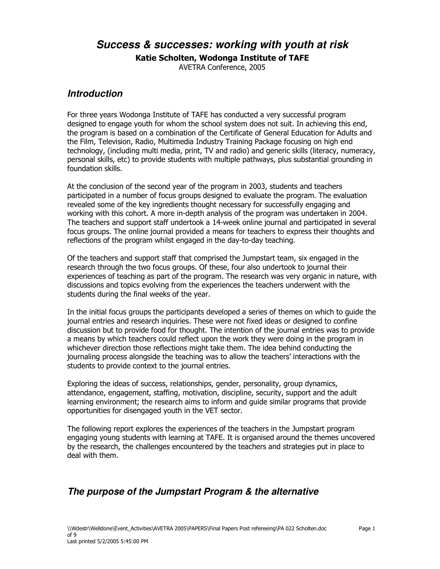Success & successes: working with youth at risk

Katie Scholten, Wodonga Institute of TAFE

AVETRA Conference, 2005

## **Introduction**

For three years Wodonga Institute of TAFE has conducted a very successful program designed to engage youth for whom the school system does not suit. In achieving this end, the program is based on a combination of the Certificate of General Education for Adults and the Film, Television, Radio, Multimedia Industry Training Package focusing on high end technology, (including multi media, print, TV and radio) and generic skills (literacy, numeracy, personal skills, etc) to provide students with multiple pathways, plus substantial grounding in foundation skills.

At the conclusion of the second year of the program in 2003, students and teachers participated in a number of focus groups designed to evaluate the program. The evaluation revealed some of the key ingredients thought necessary for successfully engaging and working with this cohort. A more in-depth analysis of the program was undertaken in 2004. The teachers and support staff undertook a 14-week online journal and participated in several focus groups. The online journal provided a means for teachers to express their thoughts and reflections of the program whilst engaged in the day-to-day teaching.

Of the teachers and support staff that comprised the Jumpstart team, six engaged in the research through the two focus groups. Of these, four also undertook to journal their experiences of teaching as part of the program. The research was very organic in nature, with discussions and topics evolving from the experiences the teachers underwent with the students during the final weeks of the year.

In the initial focus groups the participants developed a series of themes on which to quide the journal entries and research inquiries. These were not fixed ideas or designed to confine discussion but to provide food for thought. The intention of the journal entries was to provide a means by which teachers could reflect upon the work they were doing in the program in whichever direction those reflections might take them. The idea behind conducting the journaling process alongside the teaching was to allow the teachers' interactions with the students to provide context to the journal entries.

Exploring the ideas of success, relationships, gender, personality, group dynamics, attendance, engagement, staffing, motivation, discipline, security, support and the adult learning environment; the research aims to inform and quide similar programs that provide opportunities for disengaged youth in the VET sector.

The following report explores the experiences of the teachers in the Jumpstart program engaging young students with learning at TAFE. It is organised around the themes uncovered by the research, the challenges encountered by the teachers and strategies put in place to deal with them.

# The purpose of the Jumpstart Program & the alternative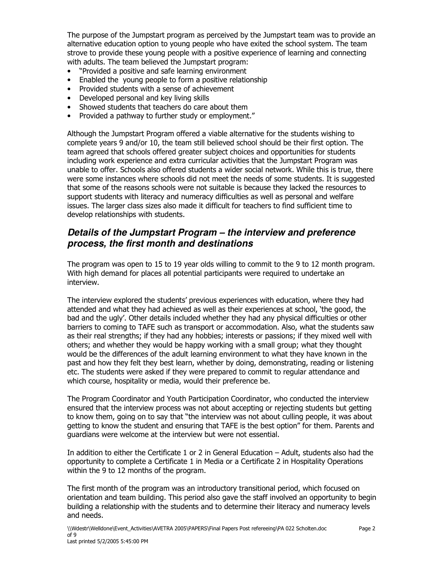The purpose of the Jumpstart program as perceived by the Jumpstart team was to provide an alternative education option to young people who have exited the school system. The team strove to provide these young people with a positive experience of learning and connecting with adults. The team believed the Jumpstart program:

- "Provided a positive and safe learning environment
- $\bullet$ Enabled the young people to form a positive relationship
- Provided students with a sense of achievement
- Developed personal and key living skills
- Showed students that teachers do care about them  $\bullet$
- Provided a pathway to further study or employment."

Although the Jumpstart Program offered a viable alternative for the students wishing to complete years 9 and/or 10, the team still believed school should be their first option. The team agreed that schools offered greater subject choices and opportunities for students including work experience and extra curricular activities that the Jumpstart Program was unable to offer. Schools also offered students a wider social network. While this is true, there were some instances where schools did not meet the needs of some students. It is suggested that some of the reasons schools were not suitable is because they lacked the resources to support students with literacy and numeracy difficulties as well as personal and welfare issues. The larger class sizes also made it difficult for teachers to find sufficient time to develop relationships with students.

## Details of the Jumpstart Program – the interview and preference process, the first month and destinations

The program was open to 15 to 19 year olds willing to commit to the 9 to 12 month program. With high demand for places all potential participants were required to undertake an interview.

The interview explored the students' previous experiences with education, where they had attended and what they had achieved as well as their experiences at school, 'the good, the bad and the ugly'. Other details included whether they had any physical difficulties or other barriers to coming to TAFE such as transport or accommodation. Also, what the students saw as their real strengths; if they had any hobbies; interests or passions; if they mixed well with others; and whether they would be happy working with a small group; what they thought would be the differences of the adult learning environment to what they have known in the past and how they felt they best learn, whether by doing, demonstrating, reading or listening etc. The students were asked if they were prepared to commit to regular attendance and which course, hospitality or media, would their preference be.

The Program Coordinator and Youth Participation Coordinator, who conducted the interview ensured that the interview process was not about accepting or rejecting students but getting to know them, going on to say that "the interview was not about culling people, it was about getting to know the student and ensuring that TAFE is the best option" for them. Parents and quardians were welcome at the interview but were not essential.

In addition to either the Certificate 1 or 2 in General Education - Adult, students also had the opportunity to complete a Certificate 1 in Media or a Certificate 2 in Hospitality Operations within the 9 to 12 months of the program.

The first month of the program was an introductory transitional period, which focused on orientation and team building. This period also gave the staff involved an opportunity to begin building a relationship with the students and to determine their literacy and numeracy levels and needs.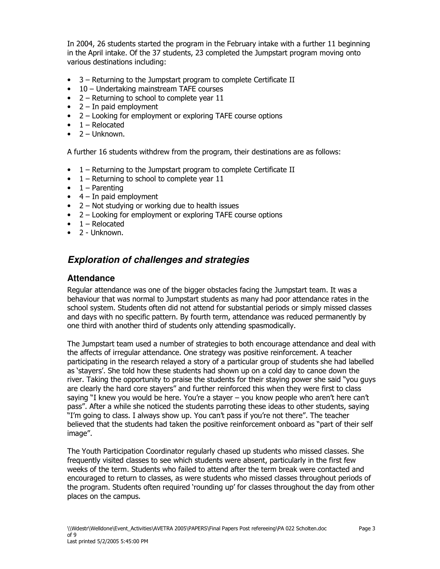In 2004, 26 students started the program in the February intake with a further 11 beginning in the April intake. Of the 37 students, 23 completed the Jumpstart program moving onto various destinations including:

- 3 Returning to the Jumpstart program to complete Certificate II
- 10 Undertaking mainstream TAFE courses
- $2 -$  Returning to school to complete year 11
- $\bullet$  2 In paid employment
- 2 Looking for employment or exploring TAFE course options
- $\bullet$  1 Relocated
- $\bullet$  2 Unknown.

A further 16 students withdrew from the program, their destinations are as follows:

- 1 Returning to the Jumpstart program to complete Certificate II
- $\bullet$  1 Returning to school to complete year 11
- $\bullet$  1 Parenting
- $\bullet$  4 In paid employment
- $2 -$  Not studying or working due to health issues
- 2 Looking for employment or exploring TAFE course options
- $\bullet$  1 Relocated
- $\bullet$  2 Unknown.

# **Exploration of challenges and strategies**

#### **Attendance**

Regular attendance was one of the bigger obstacles facing the Jumpstart team. It was a behaviour that was normal to Jumpstart students as many had poor attendance rates in the school system. Students often did not attend for substantial periods or simply missed classes and days with no specific pattern. By fourth term, attendance was reduced permanently by one third with another third of students only attending spasmodically.

The Jumpstart team used a number of strategies to both encourage attendance and deal with the affects of irregular attendance. One strategy was positive reinforcement. A teacher participating in the research relayed a story of a particular group of students she had labelled as 'stayers'. She told how these students had shown up on a cold day to canoe down the river. Taking the opportunity to praise the students for their staying power she said "you guys are clearly the hard core stavers" and further reinforced this when they were first to class saying "I knew you would be here. You're a stayer - you know people who aren't here can't pass". After a while she noticed the students parroting these ideas to other students, saying "I'm going to class. I always show up. You can't pass if you're not there". The teacher believed that the students had taken the positive reinforcement onboard as "part of their self image".

The Youth Participation Coordinator regularly chased up students who missed classes. She frequently visited classes to see which students were absent, particularly in the first few weeks of the term. Students who failed to attend after the term break were contacted and encouraged to return to classes, as were students who missed classes throughout periods of the program. Students often reguired `rounding up' for classes throughout the day from other places on the campus.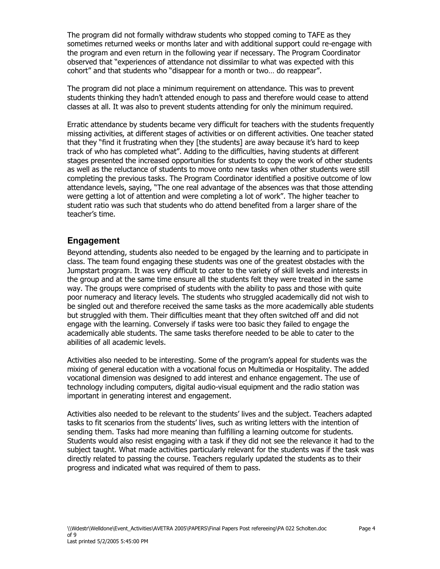The program did not formally withdraw students who stopped coming to TAFE as they sometimes returned weeks or months later and with additional support could re-engage with the program and even return in the following year if necessary. The Program Coordinator observed that "experiences of attendance not dissimilar to what was expected with this cohort" and that students who "disappear for a month or two... do reappear".

The program did not place a minimum requirement on attendance. This was to prevent students thinking they hadn't attended enough to pass and therefore would cease to attend classes at all. It was also to prevent students attending for only the minimum required.

Erratic attendance by students became very difficult for teachers with the students frequently missing activities, at different stages of activities or on different activities. One teacher stated that they "find it frustrating when they [the students] are away because it's hard to keep track of who has completed what". Adding to the difficulties, having students at different stages presented the increased opportunities for students to copy the work of other students as well as the reluctance of students to move onto new tasks when other students were still completing the previous tasks. The Program Coordinator identified a positive outcome of low attendance levels, saying, "The one real advantage of the absences was that those attending were getting a lot of attention and were completing a lot of work". The higher teacher to student ratio was such that students who do attend benefited from a larger share of the teacher's time.

#### Engagement

Beyond attending, students also needed to be engaged by the learning and to participate in class. The team found engaging these students was one of the greatest obstacles with the Jumpstart program. It was very difficult to cater to the variety of skill levels and interests in the group and at the same time ensure all the students felt they were treated in the same way. The groups were comprised of students with the ability to pass and those with quite poor numeracy and literacy levels. The students who struggled academically did not wish to be singled out and therefore received the same tasks as the more academically able students but struggled with them. Their difficulties meant that they often switched off and did not engage with the learning. Conversely if tasks were too basic they failed to engage the academically able students. The same tasks therefore needed to be able to cater to the abilities of all academic levels.

Activities also needed to be interesting. Some of the program's appeal for students was the mixing of general education with a vocational focus on Multimedia or Hospitality. The added vocational dimension was designed to add interest and enhance engagement. The use of technology including computers, digital audio-visual equipment and the radio station was important in generating interest and engagement.

Activities also needed to be relevant to the students' lives and the subject. Teachers adapted tasks to fit scenarios from the students' lives, such as writing letters with the intention of sending them. Tasks had more meaning than fulfilling a learning outcome for students. Students would also resist engaging with a task if they did not see the relevance it had to the subject taught. What made activities particularly relevant for the students was if the task was directly related to passing the course. Teachers regularly updated the students as to their progress and indicated what was required of them to pass.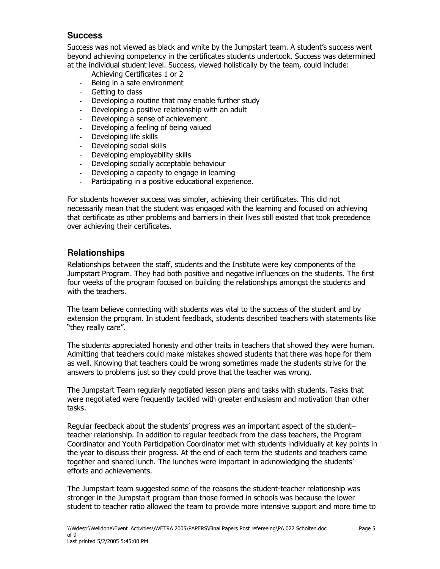#### **Success**

Success was not viewed as black and white by the Jumpstart team. A student's success went beyond achieving competency in the certificates students undertook. Success was determined at the individual student level. Success, viewed holistically by the team, could include:

- Achieving Certificates 1 or 2
- Being in a safe environment
- Getting to class
- Developing a routine that may enable further study
- Developing a positive relationship with an adult
- Developing a sense of achievement
- Developing a feeling of being valued
- Developing life skills
- Developing social skills
- Developing employability skills
- Developing socially acceptable behaviour  $\overline{a}$
- Developing a capacity to engage in learning
- Participating in a positive educational experience.

For students however success was simpler, achieving their certificates. This did not necessarily mean that the student was engaged with the learning and focused on achieving that certificate as other problems and barriers in their lives still existed that took precedence over achieving their certificates.

#### **Relationships**

Relationships between the staff, students and the Institute were key components of the Jumpstart Program. They had both positive and negative influences on the students. The first four weeks of the program focused on building the relationships amongst the students and with the teachers.

The team believe connecting with students was vital to the success of the student and by extension the program. In student feedback, students described teachers with statements like "they really care".

The students appreciated honesty and other traits in teachers that showed they were human. Admitting that teachers could make mistakes showed students that there was hope for them as well. Knowing that teachers could be wrong sometimes made the students strive for the answers to problems just so they could prove that the teacher was wrong.

The Jumpstart Team regularly negotiated lesson plans and tasks with students. Tasks that were negotiated were frequently tackled with greater enthusiasm and motivation than other tasks.

Regular feedback about the students' progress was an important aspect of the studentteacher relationship. In addition to regular feedback from the class teachers, the Program Coordinator and Youth Participation Coordinator met with students individually at key points in the year to discuss their progress. At the end of each term the students and teachers came together and shared lunch. The lunches were important in acknowledging the students' efforts and achievements.

The Jumpstart team suggested some of the reasons the student-teacher relationship was stronger in the Jumpstart program than those formed in schools was because the lower student to teacher ratio allowed the team to provide more intensive support and more time to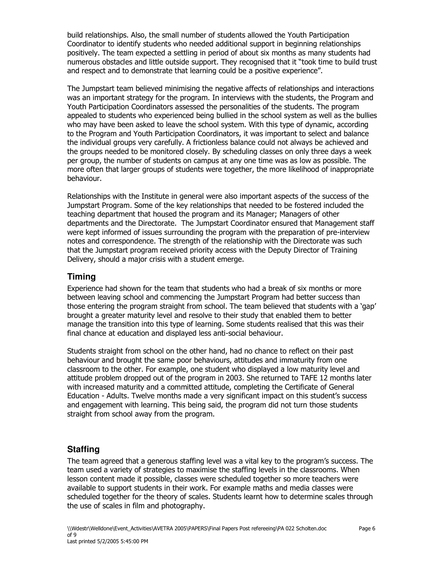build relationships. Also, the small number of students allowed the Youth Participation Coordinator to identify students who needed additional support in beginning relationships positively. The team expected a settling in period of about six months as many students had numerous obstacles and little outside support. They recognised that it "took time to build trust and respect and to demonstrate that learning could be a positive experience".

The Jumpstart team believed minimising the negative affects of relationships and interactions was an important strategy for the program. In interviews with the students, the Program and Youth Participation Coordinators assessed the personalities of the students. The program appealed to students who experienced being bullied in the school system as well as the bullies who may have been asked to leave the school system. With this type of dynamic, according to the Program and Youth Participation Coordinators, it was important to select and balance the individual groups very carefully. A frictionless balance could not always be achieved and the groups needed to be monitored closely. By scheduling classes on only three days a week per group, the number of students on campus at any one time was as low as possible. The more often that larger groups of students were together, the more likelihood of inappropriate behaviour.

Relationships with the Institute in general were also important aspects of the success of the Jumpstart Program. Some of the key relationships that needed to be fostered included the teaching department that housed the program and its Manager; Managers of other departments and the Directorate. The Jumpstart Coordinator ensured that Management staff were kept informed of issues surrounding the program with the preparation of pre-interview notes and correspondence. The strength of the relationship with the Directorate was such that the Jumpstart program received priority access with the Deputy Director of Training Delivery, should a major crisis with a student emerge.

### **Timing**

Experience had shown for the team that students who had a break of six months or more between leaving school and commencing the Jumpstart Program had better success than those entering the program straight from school. The team believed that students with a 'gap' brought a greater maturity level and resolve to their study that enabled them to better manage the transition into this type of learning. Some students realised that this was their final chance at education and displayed less anti-social behaviour.

Students straight from school on the other hand, had no chance to reflect on their past behaviour and brought the same poor behaviours, attitudes and immaturity from one classroom to the other. For example, one student who displayed a low maturity level and attitude problem dropped out of the program in 2003. She returned to TAFE 12 months later with increased maturity and a committed attitude, completing the Certificate of General Education - Adults. Twelve months made a very significant impact on this student's success and engagement with learning. This being said, the program did not turn those students straight from school away from the program.

## **Staffing**

The team agreed that a generous staffing level was a vital key to the program's success. The team used a variety of strategies to maximise the staffing levels in the classrooms. When lesson content made it possible, classes were scheduled together so more teachers were available to support students in their work. For example maths and media classes were scheduled together for the theory of scales. Students learnt how to determine scales through the use of scales in film and photography.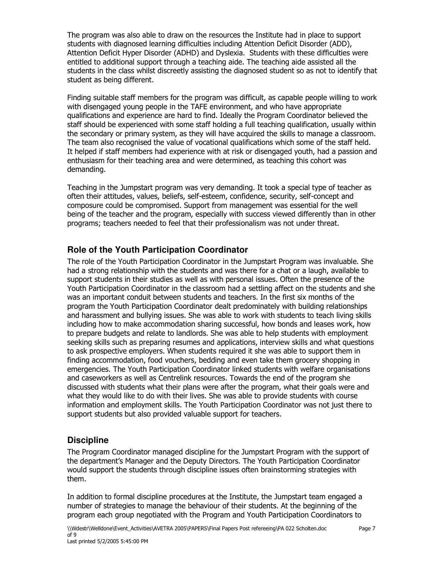The program was also able to draw on the resources the Institute had in place to support students with diagnosed learning difficulties including Attention Deficit Disorder (ADD), Attention Deficit Hyper Disorder (ADHD) and Dyslexia. Students with these difficulties were entitled to additional support through a teaching aide. The teaching aide assisted all the students in the class whilst discreetly assisting the diagnosed student so as not to identify that student as being different.

Finding suitable staff members for the program was difficult, as capable people willing to work with disengaged young people in the TAFE environment, and who have appropriate qualifications and experience are hard to find. Ideally the Program Coordinator believed the staff should be experienced with some staff holding a full teaching qualification, usually within the secondary or primary system, as they will have acquired the skills to manage a classroom. The team also recognised the value of vocational qualifications which some of the staff held. It helped if staff members had experience with at risk or disengaged youth, had a passion and enthusiasm for their teaching area and were determined, as teaching this cohort was demanding.

Teaching in the Jumpstart program was very demanding. It took a special type of teacher as often their attitudes, values, beliefs, self-esteem, confidence, security, self-concept and composure could be compromised. Support from management was essential for the well being of the teacher and the program, especially with success viewed differently than in other programs; teachers needed to feel that their professionalism was not under threat.

### Role of the Youth Participation Coordinator

The role of the Youth Participation Coordinator in the Jumpstart Program was invaluable. She had a strong relationship with the students and was there for a chat or a laugh, available to support students in their studies as well as with personal issues. Often the presence of the Youth Participation Coordinator in the classroom had a settling affect on the students and she was an important conduit between students and teachers. In the first six months of the program the Youth Participation Coordinator dealt predominately with building relationships and harassment and bullying issues. She was able to work with students to teach living skills including how to make accommodation sharing successful, how bonds and leases work, how to prepare budgets and relate to landlords. She was able to help students with employment seeking skills such as preparing resumes and applications, interview skills and what questions to ask prospective employers. When students required it she was able to support them in finding accommodation, food vouchers, bedding and even take them grocery shopping in emergencies. The Youth Participation Coordinator linked students with welfare organisations and caseworkers as well as Centrelink resources. Towards the end of the program she discussed with students what their plans were after the program, what their goals were and what they would like to do with their lives. She was able to provide students with course information and employment skills. The Youth Participation Coordinator was not just there to support students but also provided valuable support for teachers.

## **Discipline**

The Program Coordinator managed discipline for the Jumpstart Program with the support of the department's Manager and the Deputy Directors. The Youth Participation Coordinator would support the students through discipline issues often brainstorming strategies with them.

In addition to formal discipline procedures at the Institute, the Jumpstart team engaged a number of strategies to manage the behaviour of their students. At the beginning of the program each group negotiated with the Program and Youth Participation Coordinators to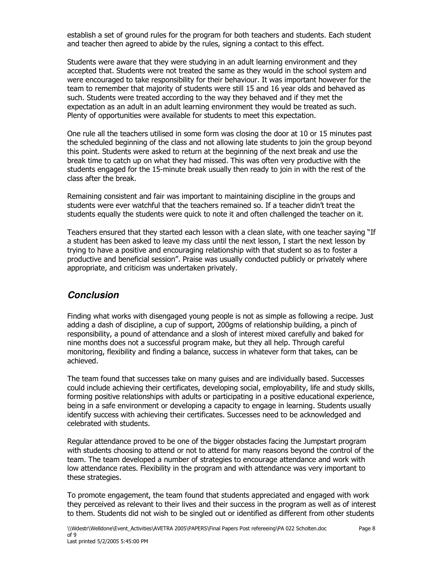establish a set of ground rules for the program for both teachers and students. Each student and teacher then agreed to abide by the rules, signing a contact to this effect.

Students were aware that they were studying in an adult learning environment and they accepted that. Students were not treated the same as they would in the school system and were encouraged to take responsibility for their behaviour. It was important however for the team to remember that majority of students were still 15 and 16 year olds and behaved as such. Students were treated according to the way they behaved and if they met the expectation as an adult in an adult learning environment they would be treated as such. Plenty of opportunities were available for students to meet this expectation.

One rule all the teachers utilised in some form was closing the door at 10 or 15 minutes past the scheduled beginning of the class and not allowing late students to join the group beyond this point. Students were asked to return at the beginning of the next break and use the break time to catch up on what they had missed. This was often very productive with the students engaged for the 15-minute break usually then ready to join in with the rest of the class after the break.

Remaining consistent and fair was important to maintaining discipline in the groups and students were ever watchful that the teachers remained so. If a teacher didn't treat the students equally the students were quick to note it and often challenged the teacher on it.

Teachers ensured that they started each lesson with a clean slate, with one teacher saying "If a student has been asked to leave my class until the next lesson, I start the next lesson by trying to have a positive and encouraging relationship with that student so as to foster a productive and beneficial session". Praise was usually conducted publicly or privately where appropriate, and criticism was undertaken privately.

# **Conclusion**

Finding what works with disengaged young people is not as simple as following a recipe. Just adding a dash of discipline, a cup of support, 200gms of relationship building, a pinch of responsibility, a pound of attendance and a slosh of interest mixed carefully and baked for nine months does not a successful program make, but they all help. Through careful monitoring, flexibility and finding a balance, success in whatever form that takes, can be achieved.

The team found that successes take on many quises and are individually based. Successes could include achieving their certificates, developing social, employability, life and study skills, forming positive relationships with adults or participating in a positive educational experience, being in a safe environment or developing a capacity to engage in learning. Students usually identify success with achieving their certificates. Successes need to be acknowledged and celebrated with students.

Regular attendance proved to be one of the bigger obstacles facing the Jumpstart program with students choosing to attend or not to attend for many reasons beyond the control of the team. The team developed a number of strategies to encourage attendance and work with low attendance rates. Flexibility in the program and with attendance was very important to these strategies.

To promote engagement, the team found that students appreciated and engaged with work they perceived as relevant to their lives and their success in the program as well as of interest to them. Students did not wish to be singled out or identified as different from other students